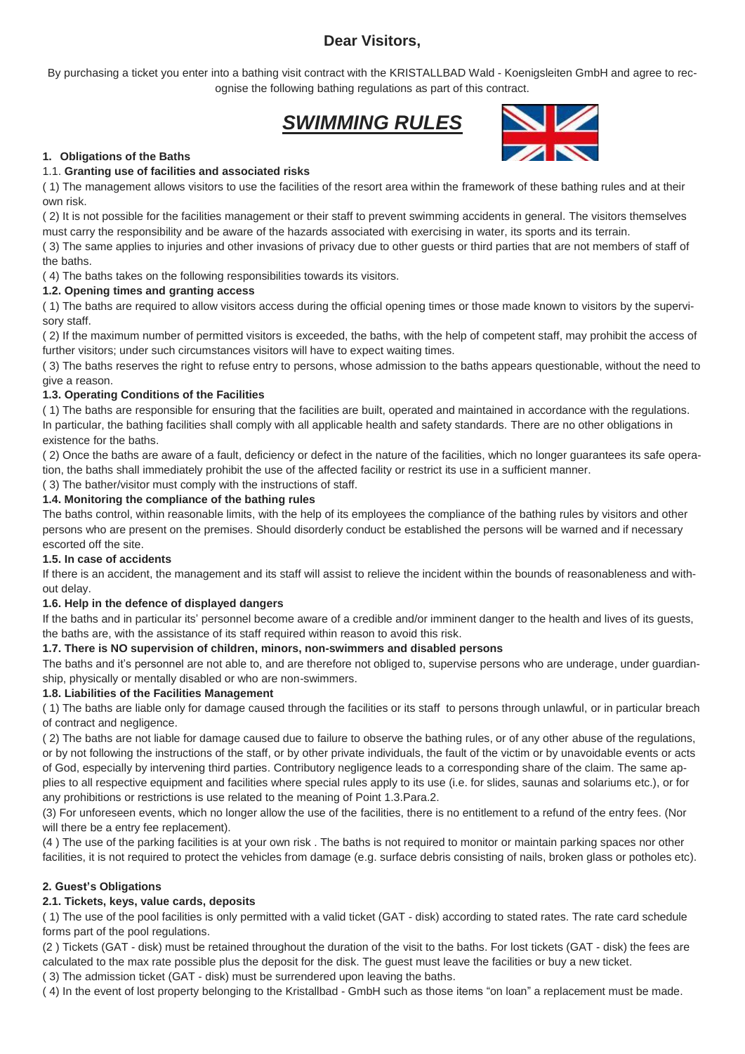### **Dear Visitors,**

By purchasing a ticket you enter into a bathing visit contract with the KRISTALLBAD Wald - Koenigsleiten GmbH and agree to recognise the following bathing regulations as part of this contract.

## *SWIMMING RULES*



#### **1. Obligations of the Baths**

#### 1.1. **Granting use of facilities and associated risks**

( 1) The management allows visitors to use the facilities of the resort area within the framework of these bathing rules and at their own risk.

( 2) It is not possible for the facilities management or their staff to prevent swimming accidents in general. The visitors themselves must carry the responsibility and be aware of the hazards associated with exercising in water, its sports and its terrain.

( 3) The same applies to injuries and other invasions of privacy due to other guests or third parties that are not members of staff of the baths.

( 4) The baths takes on the following responsibilities towards its visitors.

#### **1.2. Opening times and granting access**

( 1) The baths are required to allow visitors access during the official opening times or those made known to visitors by the supervisory staff.

( 2) If the maximum number of permitted visitors is exceeded, the baths, with the help of competent staff, may prohibit the access of further visitors; under such circumstances visitors will have to expect waiting times.

( 3) The baths reserves the right to refuse entry to persons, whose admission to the baths appears questionable, without the need to give a reason.

#### **1.3. Operating Conditions of the Facilities**

( 1) The baths are responsible for ensuring that the facilities are built, operated and maintained in accordance with the regulations. In particular, the bathing facilities shall comply with all applicable health and safety standards. There are no other obligations in existence for the baths.

( 2) Once the baths are aware of a fault, deficiency or defect in the nature of the facilities, which no longer guarantees its safe operation, the baths shall immediately prohibit the use of the affected facility or restrict its use in a sufficient manner.

( 3) The bather/visitor must comply with the instructions of staff.

#### **1.4. Monitoring the compliance of the bathing rules**

The baths control, within reasonable limits, with the help of its employees the compliance of the bathing rules by visitors and other persons who are present on the premises. Should disorderly conduct be established the persons will be warned and if necessary escorted off the site.

#### **1.5. In case of accidents**

If there is an accident, the management and its staff will assist to relieve the incident within the bounds of reasonableness and without delay.

#### **1.6. Help in the defence of displayed dangers**

If the baths and in particular its' personnel become aware of a credible and/or imminent danger to the health and lives of its guests, the baths are, with the assistance of its staff required within reason to avoid this risk.

#### **1.7. There is NO supervision of children, minors, non-swimmers and disabled persons**

The baths and it's personnel are not able to, and are therefore not obliged to, supervise persons who are underage, under guardianship, physically or mentally disabled or who are non-swimmers.

#### **1.8. Liabilities of the Facilities Management**

( 1) The baths are liable only for damage caused through the facilities or its staff to persons through unlawful, or in particular breach of contract and negligence.

( 2) The baths are not liable for damage caused due to failure to observe the bathing rules, or of any other abuse of the regulations, or by not following the instructions of the staff, or by other private individuals, the fault of the victim or by unavoidable events or acts of God, especially by intervening third parties. Contributory negligence leads to a corresponding share of the claim. The same applies to all respective equipment and facilities where special rules apply to its use (i.e. for slides, saunas and solariums etc.), or for any prohibitions or restrictions is use related to the meaning of Point 1.3.Para.2.

(3) For unforeseen events, which no longer allow the use of the facilities, there is no entitlement to a refund of the entry fees. (Nor will there be a entry fee replacement).

(4 ) The use of the parking facilities is at your own risk . The baths is not required to monitor or maintain parking spaces nor other facilities, it is not required to protect the vehicles from damage (e.g. surface debris consisting of nails, broken glass or potholes etc).

#### **2. Guest's Obligations**

#### **2.1. Tickets, keys, value cards, deposits**

( 1) The use of the pool facilities is only permitted with a valid ticket (GAT - disk) according to stated rates. The rate card schedule forms part of the pool regulations.

(2 ) Tickets (GAT - disk) must be retained throughout the duration of the visit to the baths. For lost tickets (GAT - disk) the fees are calculated to the max rate possible plus the deposit for the disk. The guest must leave the facilities or buy a new ticket.

( 3) The admission ticket (GAT - disk) must be surrendered upon leaving the baths.

( 4) In the event of lost property belonging to the Kristallbad - GmbH such as those items "on loan" a replacement must be made.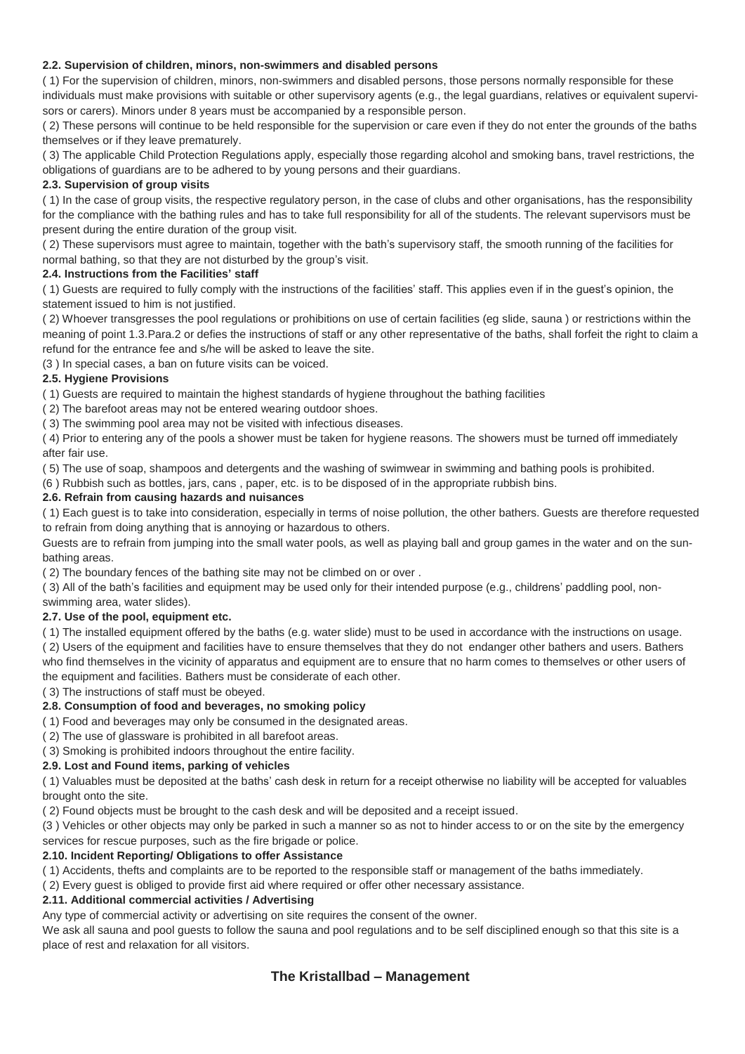#### **2.2. Supervision of children, minors, non-swimmers and disabled persons**

( 1) For the supervision of children, minors, non-swimmers and disabled persons, those persons normally responsible for these individuals must make provisions with suitable or other supervisory agents (e.g., the legal guardians, relatives or equivalent supervisors or carers). Minors under 8 years must be accompanied by a responsible person.

( 2) These persons will continue to be held responsible for the supervision or care even if they do not enter the grounds of the baths themselves or if they leave prematurely.

( 3) The applicable Child Protection Regulations apply, especially those regarding alcohol and smoking bans, travel restrictions, the obligations of guardians are to be adhered to by young persons and their guardians.

#### **2.3. Supervision of group visits**

( 1) In the case of group visits, the respective regulatory person, in the case of clubs and other organisations, has the responsibility for the compliance with the bathing rules and has to take full responsibility for all of the students. The relevant supervisors must be present during the entire duration of the group visit.

( 2) These supervisors must agree to maintain, together with the bath's supervisory staff, the smooth running of the facilities for normal bathing, so that they are not disturbed by the group's visit.

#### **2.4. Instructions from the Facilities' staff**

( 1) Guests are required to fully comply with the instructions of the facilities' staff. This applies even if in the guest's opinion, the statement issued to him is not justified.

( 2) Whoever transgresses the pool regulations or prohibitions on use of certain facilities (eg slide, sauna ) or restrictions within the meaning of point 1.3.Para.2 or defies the instructions of staff or any other representative of the baths, shall forfeit the right to claim a refund for the entrance fee and s/he will be asked to leave the site.

(3 ) In special cases, a ban on future visits can be voiced.

#### **2.5. Hygiene Provisions**

( 1) Guests are required to maintain the highest standards of hygiene throughout the bathing facilities

( 2) The barefoot areas may not be entered wearing outdoor shoes.

( 3) The swimming pool area may not be visited with infectious diseases.

( 4) Prior to entering any of the pools a shower must be taken for hygiene reasons. The showers must be turned off immediately after fair use.

( 5) The use of soap, shampoos and detergents and the washing of swimwear in swimming and bathing pools is prohibited.

(6 ) Rubbish such as bottles, jars, cans , paper, etc. is to be disposed of in the appropriate rubbish bins.

#### **2.6. Refrain from causing hazards and nuisances**

( 1) Each guest is to take into consideration, especially in terms of noise pollution, the other bathers. Guests are therefore requested to refrain from doing anything that is annoying or hazardous to others.

Guests are to refrain from jumping into the small water pools, as well as playing ball and group games in the water and on the sunbathing areas.

( 2) The boundary fences of the bathing site may not be climbed on or over .

( 3) All of the bath's facilities and equipment may be used only for their intended purpose (e.g., childrens' paddling pool, nonswimming area, water slides).

#### **2.7. Use of the pool, equipment etc.**

( 1) The installed equipment offered by the baths (e.g. water slide) must to be used in accordance with the instructions on usage.

( 2) Users of the equipment and facilities have to ensure themselves that they do not endanger other bathers and users. Bathers who find themselves in the vicinity of apparatus and equipment are to ensure that no harm comes to themselves or other users of the equipment and facilities. Bathers must be considerate of each other.

( 3) The instructions of staff must be obeyed.

#### **2.8. Consumption of food and beverages, no smoking policy**

( 1) Food and beverages may only be consumed in the designated areas.

( 2) The use of glassware is prohibited in all barefoot areas.

( 3) Smoking is prohibited indoors throughout the entire facility.

#### **2.9. Lost and Found items, parking of vehicles**

( 1) Valuables must be deposited at the baths' cash desk in return for a receipt otherwise no liability will be accepted for valuables brought onto the site.

( 2) Found objects must be brought to the cash desk and will be deposited and a receipt issued.

(3 ) Vehicles or other objects may only be parked in such a manner so as not to hinder access to or on the site by the emergency services for rescue purposes, such as the fire brigade or police.

#### **2.10. Incident Reporting/ Obligations to offer Assistance**

( 1) Accidents, thefts and complaints are to be reported to the responsible staff or management of the baths immediately.

( 2) Every guest is obliged to provide first aid where required or offer other necessary assistance.

#### **2.11. Additional commercial activities / Advertising**

Any type of commercial activity or advertising on site requires the consent of the owner.

We ask all sauna and pool guests to follow the sauna and pool regulations and to be self disciplined enough so that this site is a place of rest and relaxation for all visitors.

#### **The Kristallbad – Management**